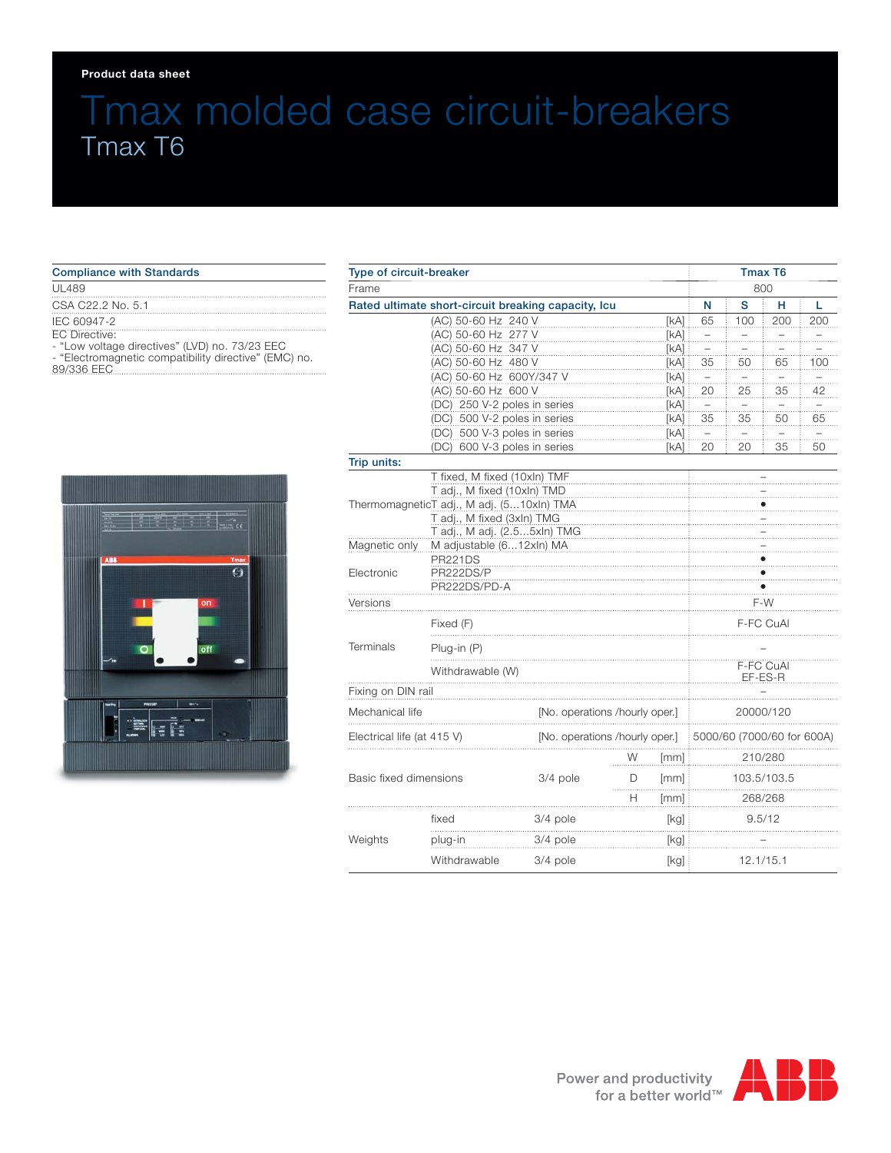#### **Product data sheet**

# Tmax molded case circuit-breakers Tmax T6

| <b>Compliance with Standards</b>                                                                                                                      |
|-------------------------------------------------------------------------------------------------------------------------------------------------------|
| UL489                                                                                                                                                 |
| CSA C22.2 No. 5.1                                                                                                                                     |
| IEC 60947-2<br>EC Directive:<br>- "Low voltage directives" (LVD) no. 73/23 EEC<br>- "Electromagnetic compatibility directive" (EMC) no.<br>89/336 EEC |



| Type of circuit-breaker                                                 |                                                     |            |                                |                      | Tmax T6           |                            |                          |                |  |
|-------------------------------------------------------------------------|-----------------------------------------------------|------------|--------------------------------|----------------------|-------------------|----------------------------|--------------------------|----------------|--|
| Frame                                                                   |                                                     |            |                                |                      |                   | 800                        |                          |                |  |
|                                                                         | Rated ultimate short-circuit breaking capacity, Icu |            |                                |                      | N                 | S                          | н                        | L              |  |
|                                                                         | (AC) 50-60 Hz 240 V                                 |            |                                | [KA]                 | 65                | 100                        | 200                      | 200            |  |
|                                                                         | (AC) 50-60 Hz 277 V                                 |            |                                | [KA]<br>[kA]         | $\overline{a}$    |                            | $\pm$                    |                |  |
|                                                                         | (AC) 50-60 Hz 347 V                                 |            |                                |                      | $\overline{a}$    |                            | .                        | .              |  |
|                                                                         | (AC) 50-60 Hz 480 V<br>[kA]                         |            |                                |                      | 35                | 50                         | 65                       | 100            |  |
|                                                                         | (AC) 50-60 Hz 600Y/347 V<br>[KA]                    |            |                                |                      | $\qquad \qquad -$ |                            | $\overline{\phantom{0}}$ | $\overline{a}$ |  |
|                                                                         | (AC) 50-60 Hz 600 V<br>[KA]                         |            |                                |                      | 20                | 25                         | 35                       | 42             |  |
|                                                                         | (DC) 250 V-2 poles in series<br>[kA]                |            |                                |                      | $\pm$             |                            | $\overline{a}$           | $\pm$          |  |
|                                                                         | (DC) 500 V-2 poles in series<br>[kA] :              |            |                                |                      | 35                | 35                         | 50                       | 65             |  |
|                                                                         | (DC) 500 V-3 poles in series                        |            |                                | [kA]                 | $\pm$             |                            |                          | $\equiv$       |  |
|                                                                         | (DC) 600 V-3 poles in series                        |            |                                | [kA] :               | 20                | 20                         | 35                       | 50             |  |
| Trip units:                                                             |                                                     |            |                                |                      |                   |                            |                          |                |  |
|                                                                         | T fixed, M fixed (10xln) TMF                        |            |                                |                      |                   |                            |                          |                |  |
| T adj., M fixed (10xln) TMD                                             |                                                     |            |                                |                      |                   |                            |                          |                |  |
| ThermomagneticT adj., M adj. (510xln) TMA<br>T adj., M fixed (3xln) TMG |                                                     |            |                                |                      |                   |                            |                          |                |  |
|                                                                         |                                                     |            |                                |                      |                   |                            |                          |                |  |
|                                                                         | T adj., M adj. (2.55xln) TMG                        |            |                                |                      |                   |                            |                          |                |  |
| Magnetic only                                                           | M adjustable (612xln) MA                            |            |                                |                      |                   |                            |                          |                |  |
| Electronic                                                              | <b>PR221DS</b><br>PR222DS/P                         |            |                                |                      |                   |                            |                          |                |  |
|                                                                         | PR222DS/PD-A                                        |            |                                |                      |                   |                            |                          |                |  |
| Versions                                                                |                                                     |            |                                | F-W                  |                   |                            |                          |                |  |
|                                                                         |                                                     |            |                                |                      |                   |                            |                          |                |  |
| <b>Terminals</b>                                                        | Fixed (F)                                           |            |                                |                      | F-FC CuAl         |                            |                          |                |  |
|                                                                         | Plug-in (P)                                         |            |                                |                      |                   |                            |                          |                |  |
|                                                                         | Withdrawable (W)                                    |            |                                | F-FC CuAl<br>EF-ES-R |                   |                            |                          |                |  |
| Fixing on DIN rail                                                      |                                                     |            |                                |                      |                   |                            |                          |                |  |
| Mechanical life                                                         |                                                     |            | [No. operations /hourly oper.] |                      |                   | 20000/120                  |                          |                |  |
| Electrical life (at 415 V)                                              |                                                     |            | [No. operations /hourly oper.] |                      |                   | 5000/60 (7000/60 for 600A) |                          |                |  |
|                                                                         |                                                     |            | W                              | [mm]                 | 210/280           |                            |                          |                |  |
| Basic fixed dimensions                                                  |                                                     | $3/4$ pole | D<br>.                         | [mm]                 | 103.5/103.5       |                            |                          |                |  |
|                                                                         |                                                     |            | Н                              | [mm]                 | 268/268           |                            |                          |                |  |
| Weights                                                                 | fixed                                               | 3/4 pole   |                                | [kg]<br>9.5/12       |                   |                            |                          |                |  |
|                                                                         | plug-in                                             | 3/4 pole   | [kg]                           |                      |                   |                            |                          |                |  |
|                                                                         | Withdrawable                                        | 3/4 pole   |                                | [kg]                 |                   |                            | 12.1/15.1                |                |  |

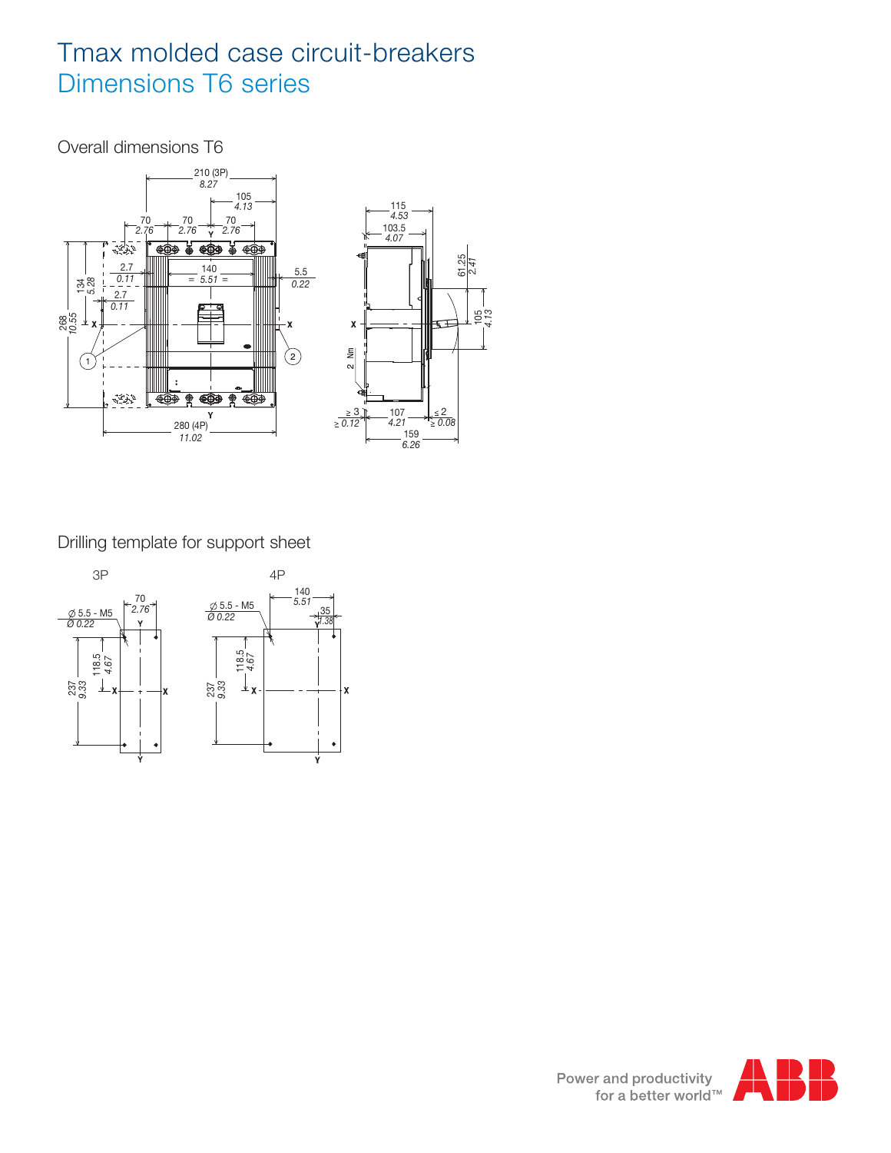## Tmax molded case circuit-breakers Dimensions T6 series

Overall dimensions T6



Drilling template for support sheet